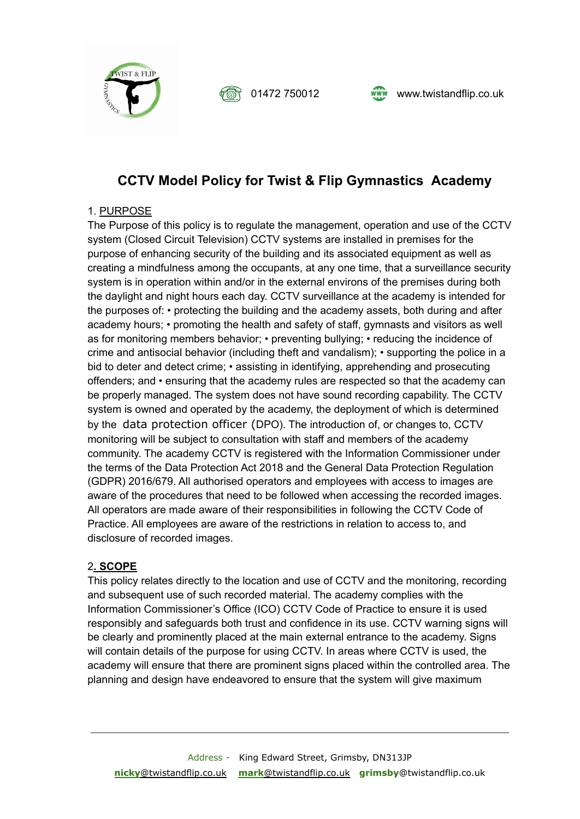



# **CCTV Model Policy for Twist & Flip Gymnastics Academy**

### 1. PURPOSE

The Purpose of this policy is to regulate the management, operation and use of the CCTV system (Closed Circuit Television) CCTV systems are installed in premises for the purpose of enhancing security of the building and its associated equipment as well as creating a mindfulness among the occupants, at any one time, that a surveillance security system is in operation within and/or in the external environs of the premises during both the daylight and night hours each day. CCTV surveillance at the academy is intended for the purposes of: • protecting the building and the academy assets, both during and after academy hours; • promoting the health and safety of staff, gymnasts and visitors as well as for monitoring members behavior; • preventing bullying; • reducing the incidence of crime and antisocial behavior (including theft and vandalism); • supporting the police in a bid to deter and detect crime; • assisting in identifying, apprehending and prosecuting offenders; and • ensuring that the academy rules are respected so that the academy can be properly managed. The system does not have sound recording capability. The CCTV system is owned and operated by the academy, the deployment of which is determined by the data protection officer (DPO). The introduction of, or changes to, CCTV monitoring will be subject to consultation with staff and members of the academy community. The academy CCTV is registered with the Information Commissioner under the terms of the Data Protection Act 2018 and the General Data Protection Regulation (GDPR) 2016/679. All authorised operators and employees with access to images are aware of the procedures that need to be followed when accessing the recorded images. All operators are made aware of their responsibilities in following the CCTV Code of Practice. All employees are aware of the restrictions in relation to access to, and disclosure of recorded images.

### 2**. SCOPE**

This policy relates directly to the location and use of CCTV and the monitoring, recording and subsequent use of such recorded material. The academy complies with the Information Commissioner's Office (ICO) CCTV Code of Practice to ensure it is used responsibly and safeguards both trust and confidence in its use. CCTV warning signs will be clearly and prominently placed at the main external entrance to the academy. Signs will contain details of the purpose for using CCTV. In areas where CCTV is used, the academy will ensure that there are prominent signs placed within the controlled area. The planning and design have endeavored to ensure that the system will give maximum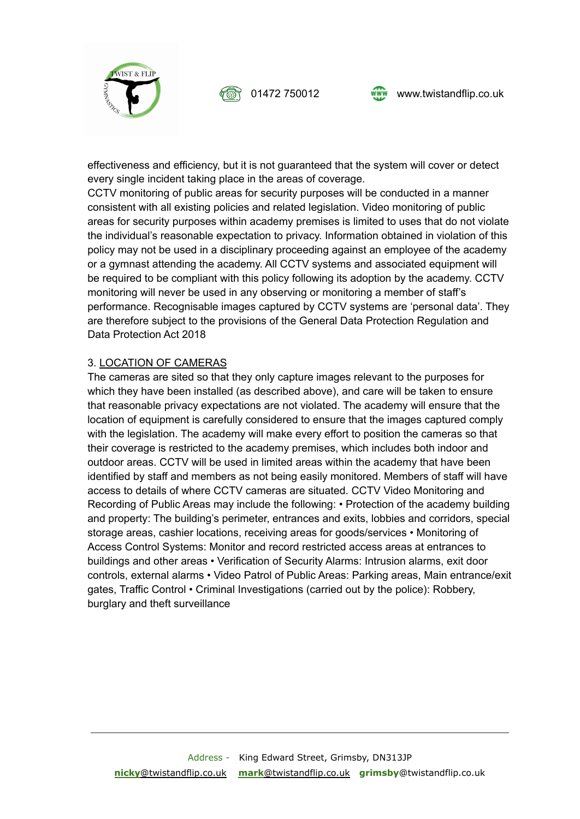





effectiveness and efficiency, but it is not guaranteed that the system will cover or detect every single incident taking place in the areas of coverage.

CCTV monitoring of public areas for security purposes will be conducted in a manner consistent with all existing policies and related legislation. Video monitoring of public areas for security purposes within academy premises is limited to uses that do not violate the individual's reasonable expectation to privacy. Information obtained in violation of this policy may not be used in a disciplinary proceeding against an employee of the academy or a gymnast attending the academy. All CCTV systems and associated equipment will be required to be compliant with this policy following its adoption by the academy. CCTV monitoring will never be used in any observing or monitoring a member of staff's performance. Recognisable images captured by CCTV systems are 'personal data'. They are therefore subject to the provisions of the General Data Protection Regulation and Data Protection Act 2018

### 3. LOCATION OF CAMERAS

The cameras are sited so that they only capture images relevant to the purposes for which they have been installed (as described above), and care will be taken to ensure that reasonable privacy expectations are not violated. The academy will ensure that the location of equipment is carefully considered to ensure that the images captured comply with the legislation. The academy will make every effort to position the cameras so that their coverage is restricted to the academy premises, which includes both indoor and outdoor areas. CCTV will be used in limited areas within the academy that have been identified by staff and members as not being easily monitored. Members of staff will have access to details of where CCTV cameras are situated. CCTV Video Monitoring and Recording of Public Areas may include the following: • Protection of the academy building and property: The building's perimeter, entrances and exits, lobbies and corridors, special storage areas, cashier locations, receiving areas for goods/services • Monitoring of Access Control Systems: Monitor and record restricted access areas at entrances to buildings and other areas • Verification of Security Alarms: Intrusion alarms, exit door controls, external alarms • Video Patrol of Public Areas: Parking areas, Main entrance/exit gates, Traffic Control • Criminal Investigations (carried out by the police): Robbery, burglary and theft surveillance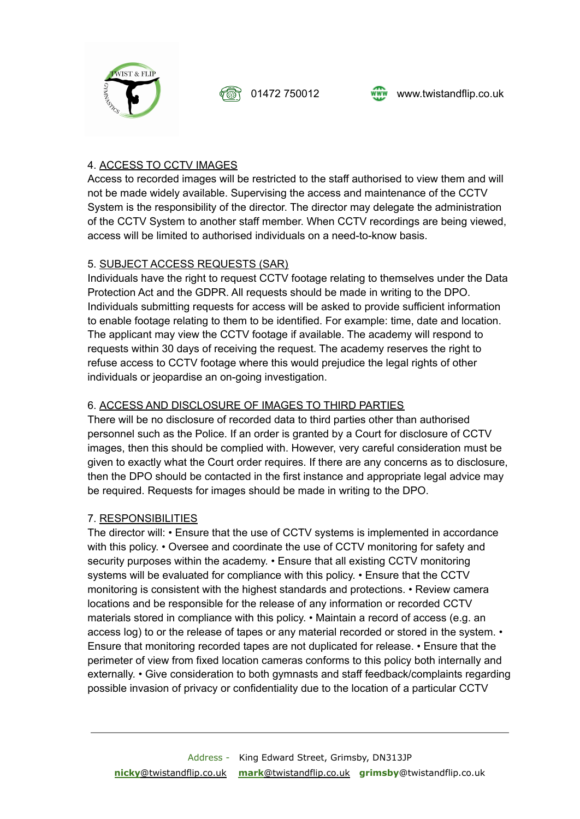



## 4. ACCESS TO CCTV IMAGES

Access to recorded images will be restricted to the staff authorised to view them and will not be made widely available. Supervising the access and maintenance of the CCTV System is the responsibility of the director. The director may delegate the administration of the CCTV System to another staff member. When CCTV recordings are being viewed, access will be limited to authorised individuals on a need-to-know basis.

### 5. SUBJECT ACCESS REQUESTS (SAR)

Individuals have the right to request CCTV footage relating to themselves under the Data Protection Act and the GDPR. All requests should be made in writing to the DPO. Individuals submitting requests for access will be asked to provide sufficient information to enable footage relating to them to be identified. For example: time, date and location. The applicant may view the CCTV footage if available. The academy will respond to requests within 30 days of receiving the request. The academy reserves the right to refuse access to CCTV footage where this would prejudice the legal rights of other individuals or jeopardise an on-going investigation.

# 6. ACCESS AND DISCLOSURE OF IMAGES TO THIRD PARTIES

There will be no disclosure of recorded data to third parties other than authorised personnel such as the Police. If an order is granted by a Court for disclosure of CCTV images, then this should be complied with. However, very careful consideration must be given to exactly what the Court order requires. If there are any concerns as to disclosure, then the DPO should be contacted in the first instance and appropriate legal advice may be required. Requests for images should be made in writing to the DPO.

### 7. RESPONSIBILITIES

The director will: • Ensure that the use of CCTV systems is implemented in accordance with this policy. • Oversee and coordinate the use of CCTV monitoring for safety and security purposes within the academy. • Ensure that all existing CCTV monitoring systems will be evaluated for compliance with this policy. • Ensure that the CCTV monitoring is consistent with the highest standards and protections. • Review camera locations and be responsible for the release of any information or recorded CCTV materials stored in compliance with this policy. • Maintain a record of access (e.g. an access log) to or the release of tapes or any material recorded or stored in the system. • Ensure that monitoring recorded tapes are not duplicated for release. • Ensure that the perimeter of view from fixed location cameras conforms to this policy both internally and externally. • Give consideration to both gymnasts and staff feedback/complaints regarding possible invasion of privacy or confidentiality due to the location of a particular CCTV